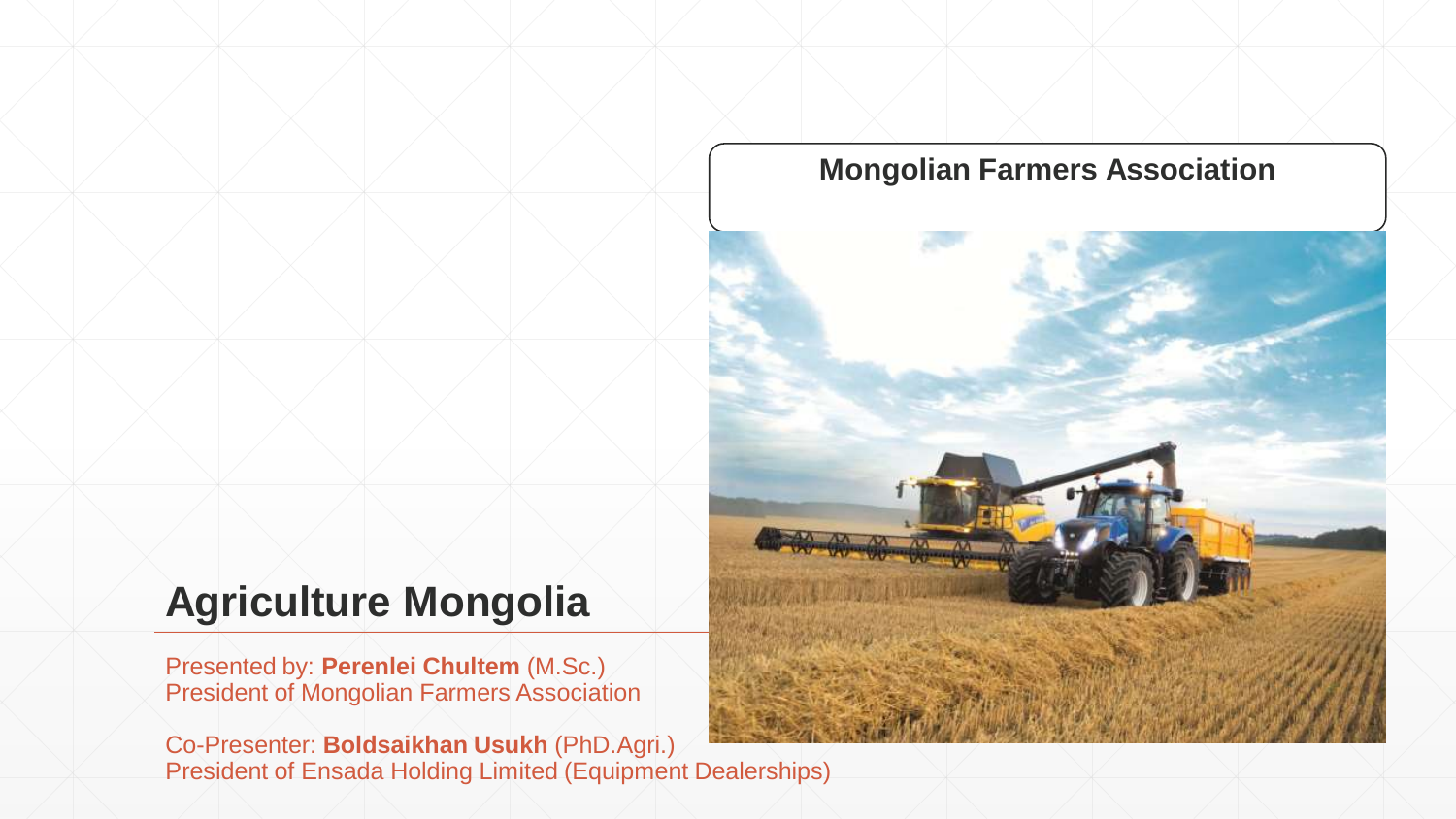#### **Mongolian Farmers Association**



#### **Agriculture Mongolia**

Presented by: **Perenlei Chultem** (M.Sc.) President of Mongolian Farmers Association

Co-Presenter: **Boldsaikhan Usukh** (PhD.Agri.) President of Ensada Holding Limited (Equipment Dealerships)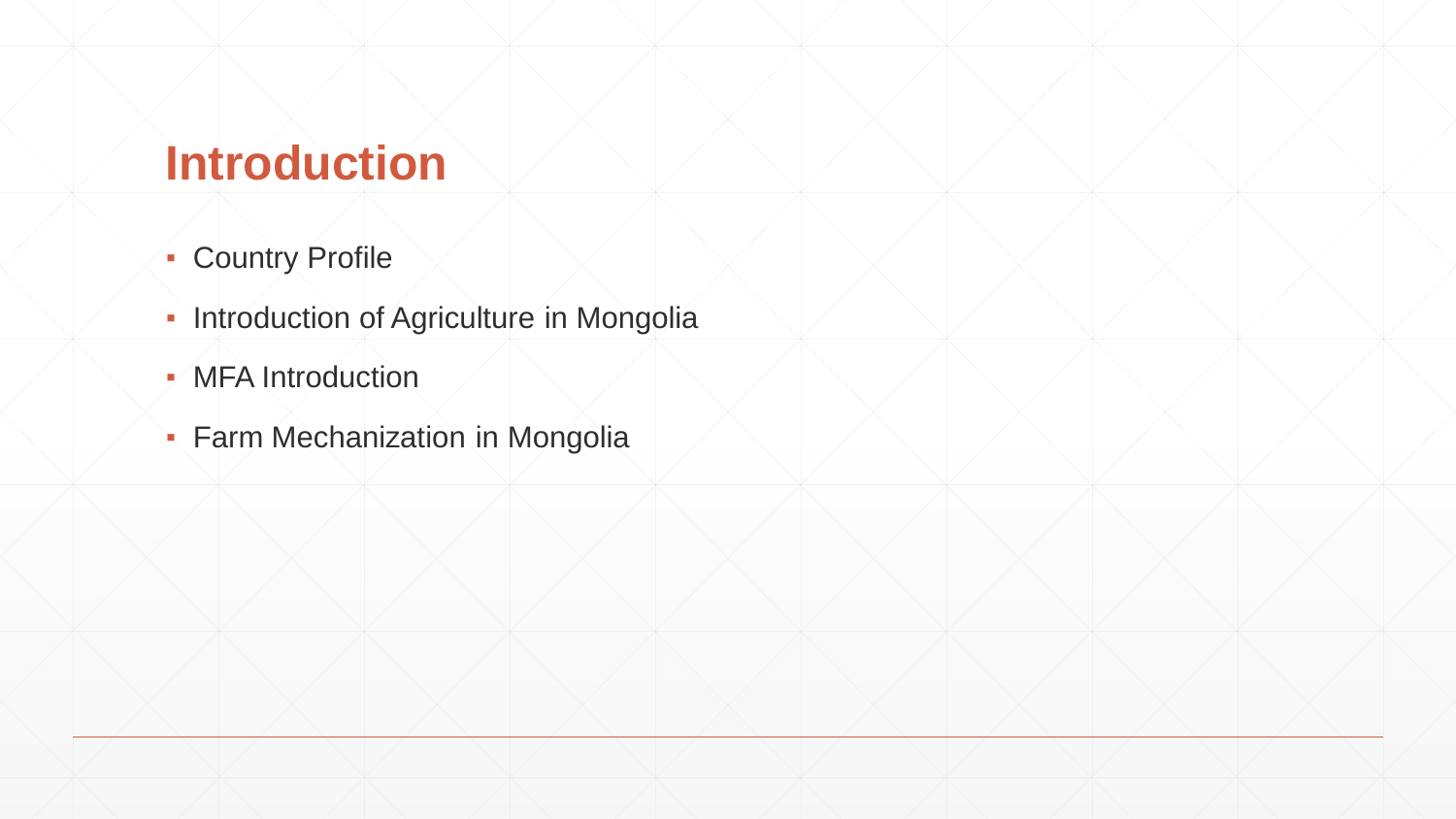## **Introduction**

- **EXECOUNTRY Profile**
- **· Introduction of Agriculture in Mongolia**
- **MFA Introduction**
- **Farm Mechanization in Mongolia**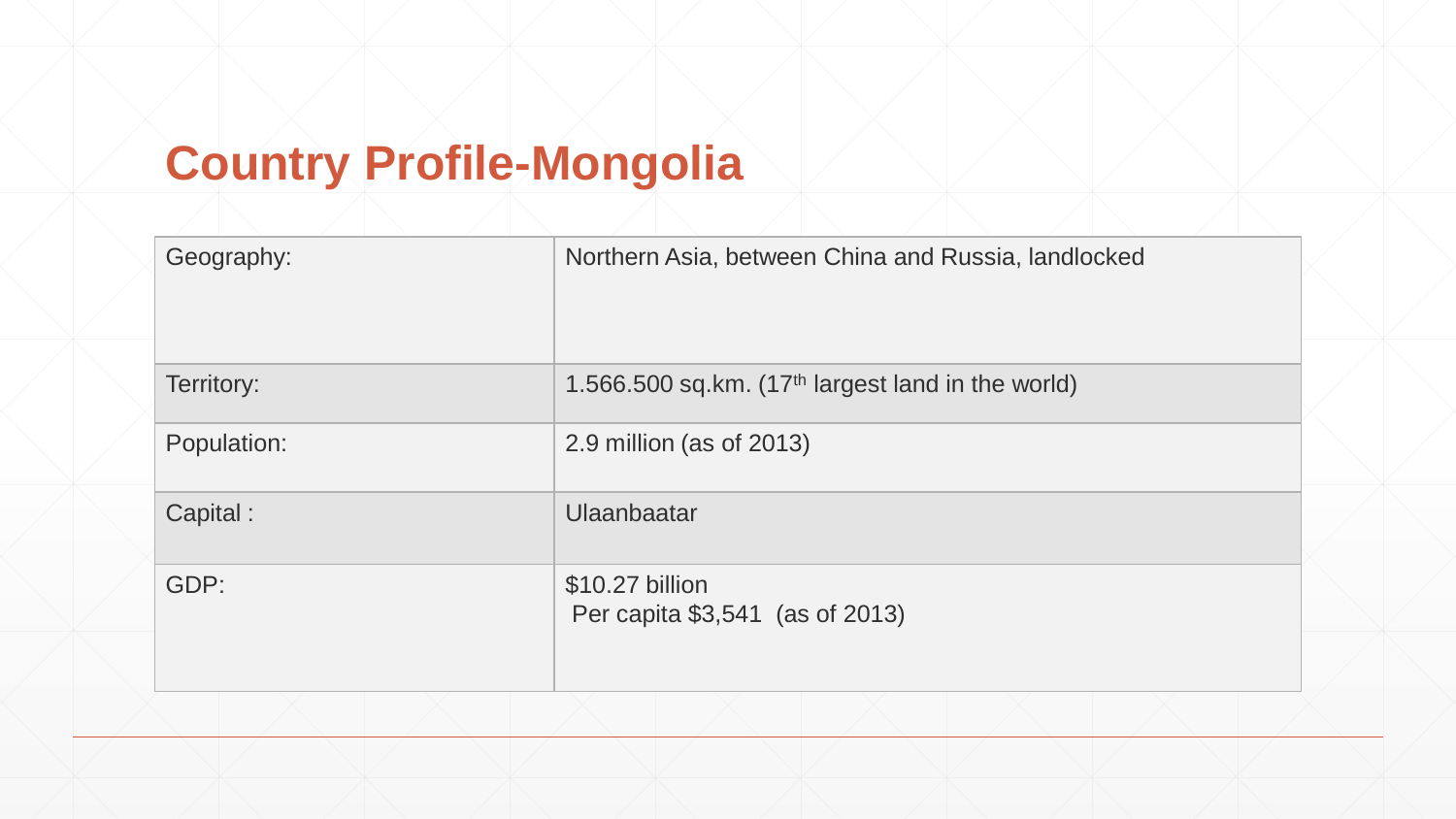# **Country Profile-Mongolia**

| Geography:  | Northern Asia, between China and Russia, landlocked |
|-------------|-----------------------------------------------------|
| Territory:  | 1.566.500 sq.km. $(17th$ largest land in the world) |
| Population: | $2.9$ million (as of 2013)                          |
| Capital:    | Ulaanbaatar                                         |
| GDP:        | \$10.27 billion<br>Per capita \$3,541 (as of 2013)  |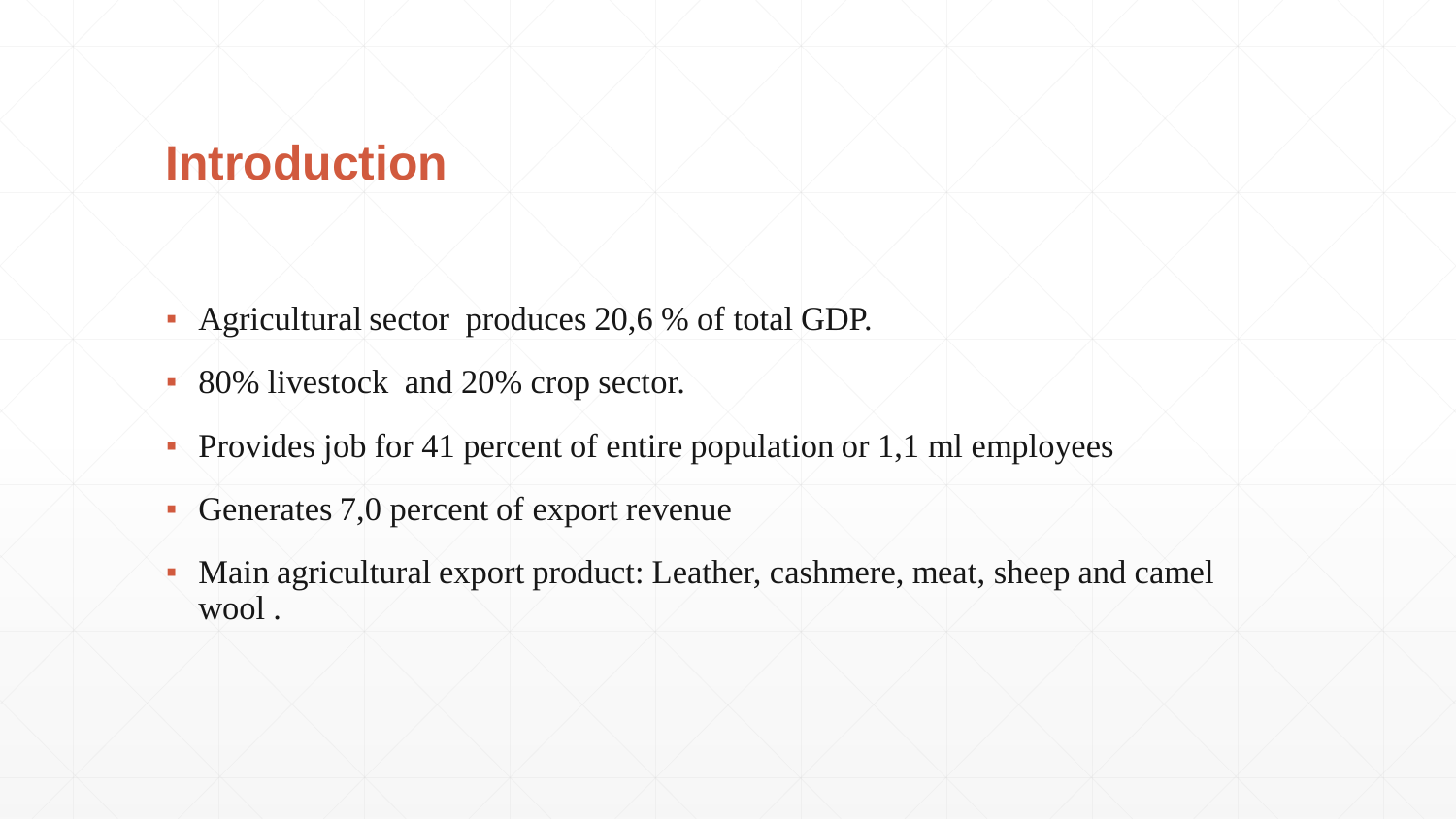#### **Introduction**

- Agricultural sector produces 20,6 % of total GDP.
- 80% livestock and 20% crop sector.
- **Provides job for 41 percent of entire population or 1,1 ml employees**
- Generates 7,0 percent of export revenue
- Main agricultural export product: Leather, cashmere, meat, sheep and camel wool .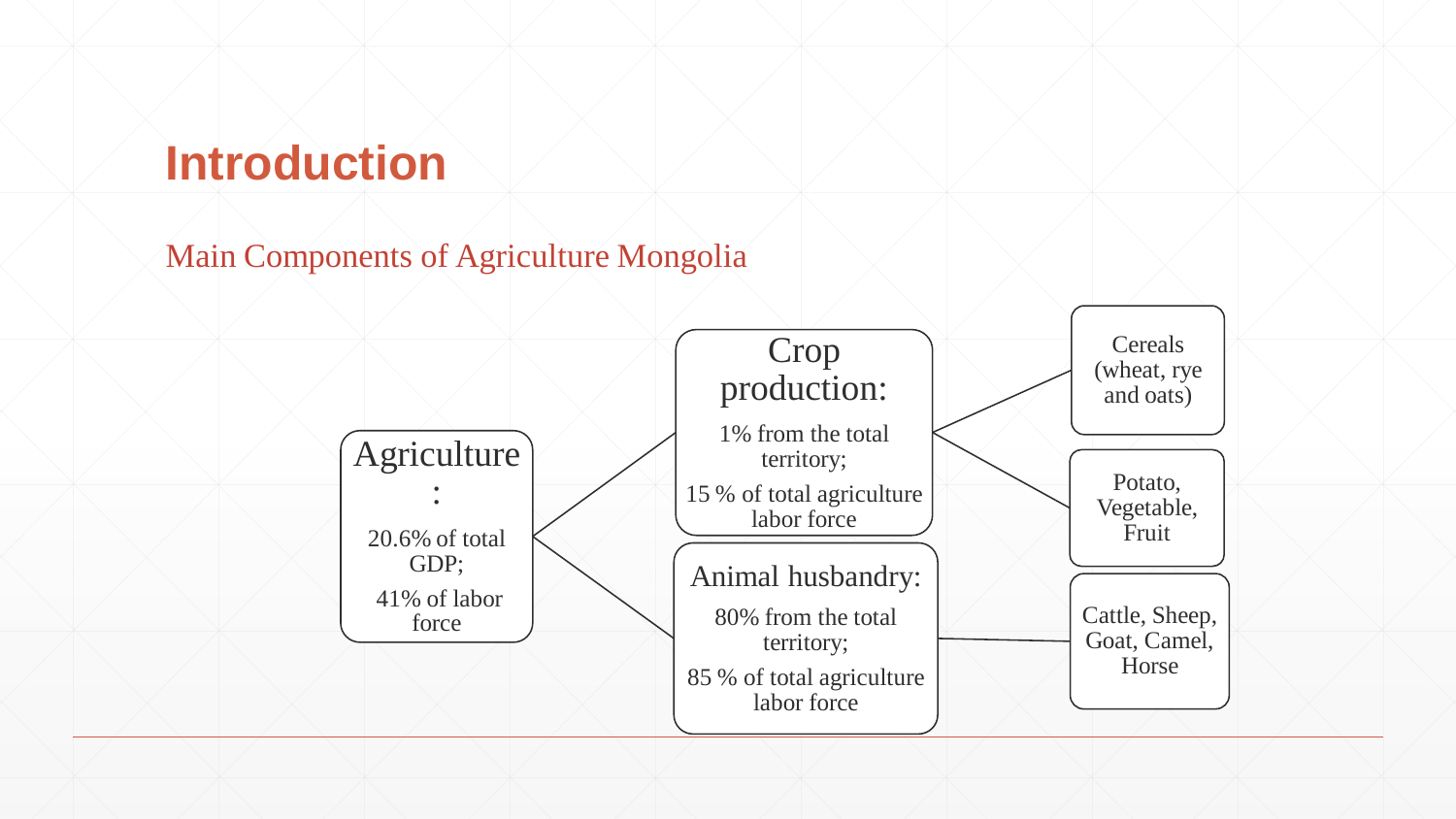#### **Introduction**

#### Main Components of Agriculture Mongolia

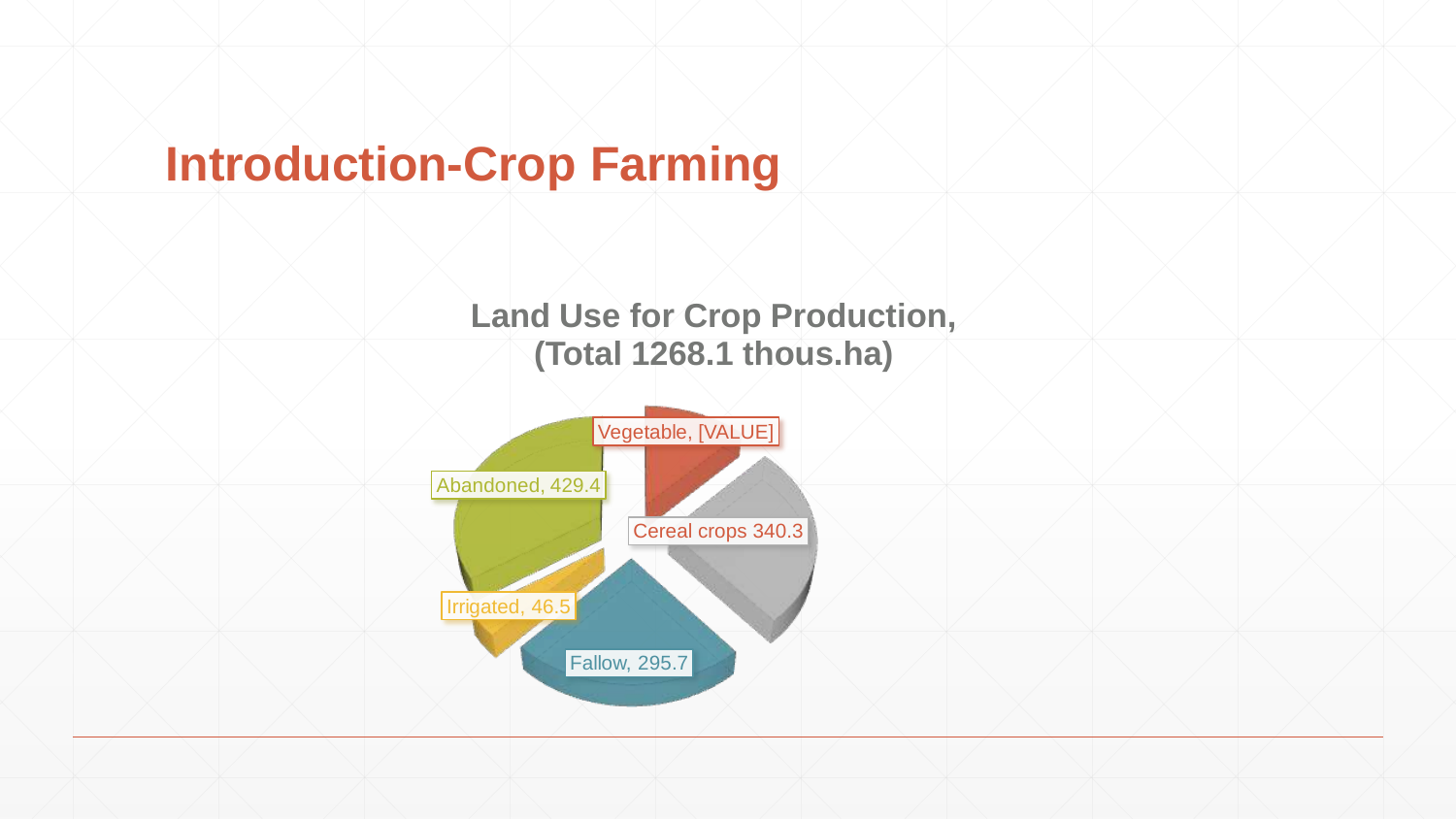## **Introduction-Crop Farming**

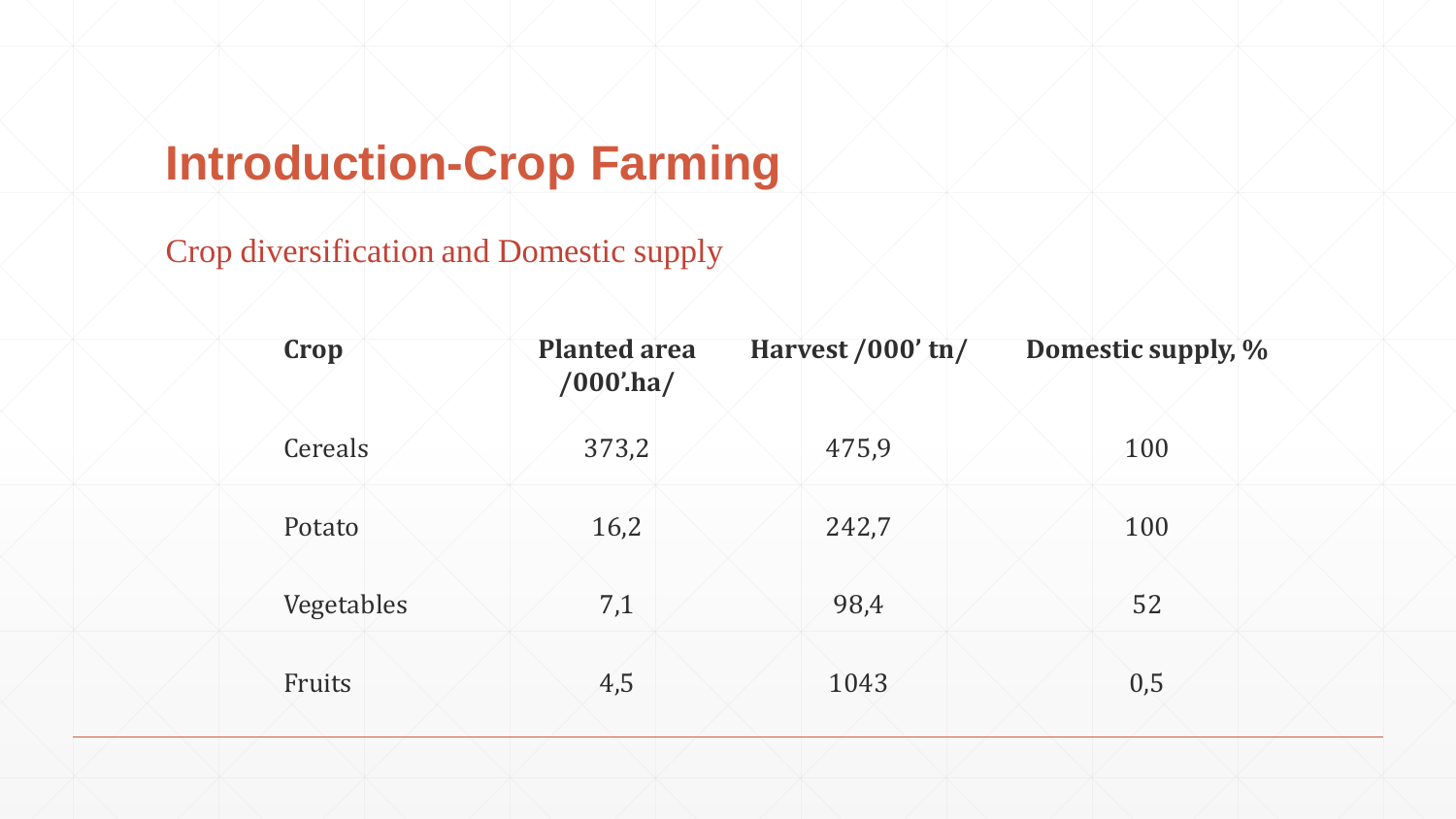# **Introduction-Crop Farming**

Crop diversification and Domestic supply

| Crop       | <b>Planted area</b><br>$/000'$ .ha/ | Harvest /000' tn/ | Domestic supply, % |
|------------|-------------------------------------|-------------------|--------------------|
| Cereals    | 373,2                               | 475,9             | 100                |
| Potato     | 16,2                                | 242,7             | 100                |
| Vegetables | 7,1                                 | 98,4              | 52                 |
| Fruits     | 4,5                                 | 1043              | 0,5                |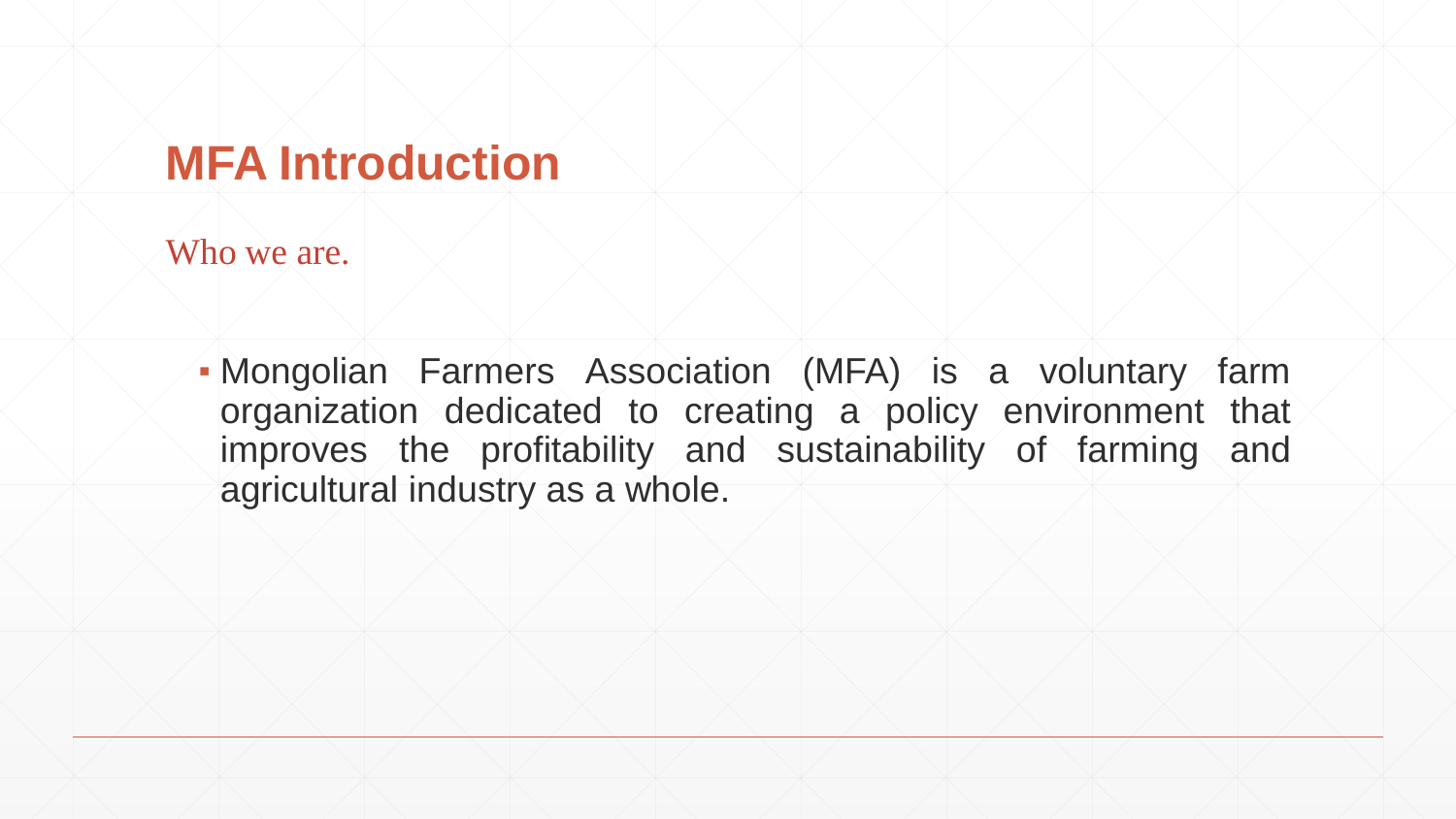Who we are.

▪ Mongolian Farmers Association (MFA) is a voluntary farm organization dedicated to creating a policy environment that improves the profitability and sustainability of farming and agricultural industry as a whole.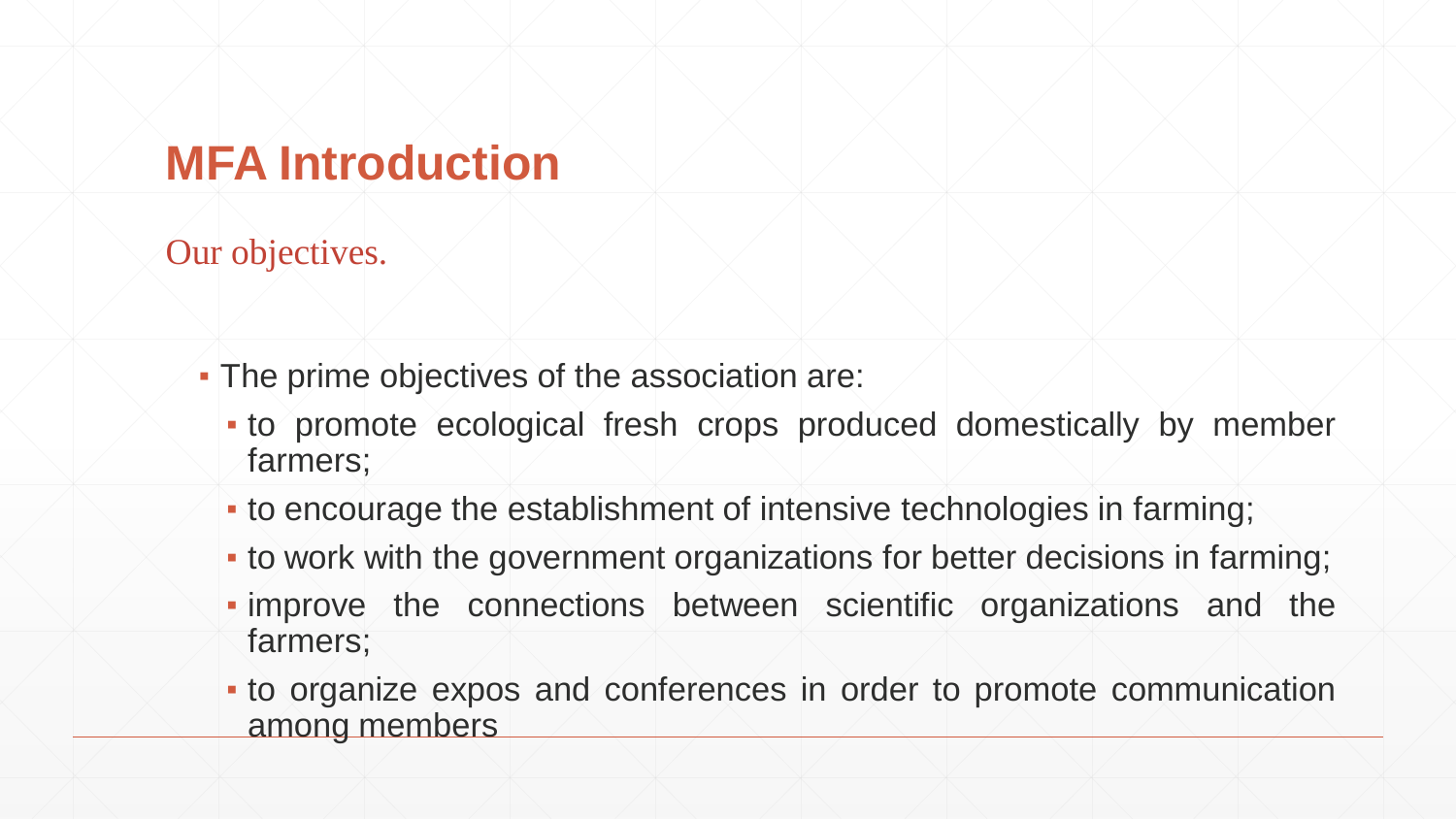Our objectives.

- The prime objectives of the association are:
	- to promote ecological fresh crops produced domestically by member farmers;
	- to encourage the establishment of intensive technologies in farming;
	- to work with the government organizations for better decisions in farming;
	- improve the connections between scientific organizations and the farmers;
	- to organize expos and conferences in order to promote communication among members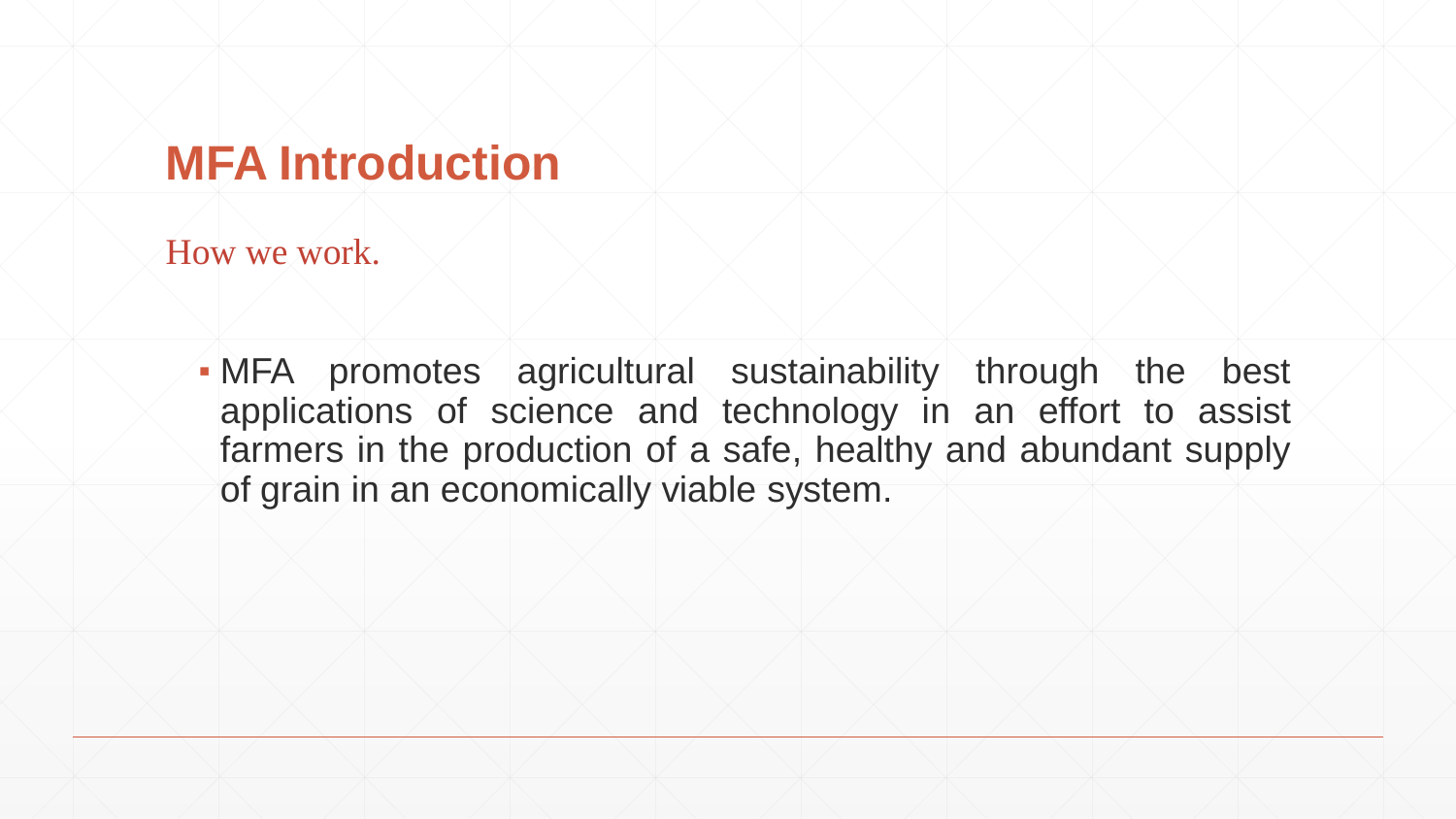How we work.

▪ MFA promotes agricultural sustainability through the best applications of science and technology in an effort to assist farmers in the production of a safe, healthy and abundant supply of grain in an economically viable system.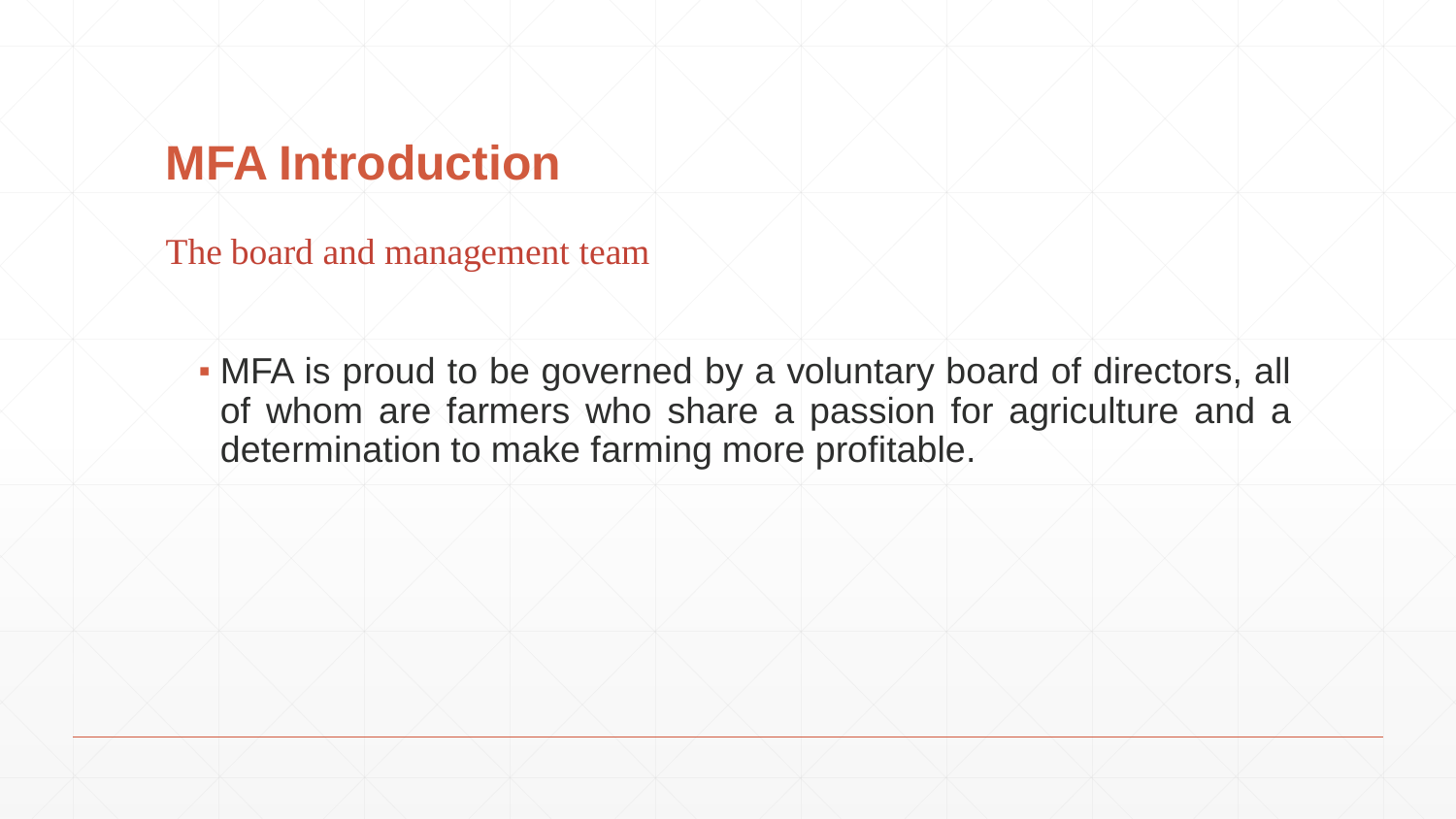The board and management team

▪ MFA is proud to be governed by a voluntary board of directors, all of whom are farmers who share a passion for agriculture and a determination to make farming more profitable.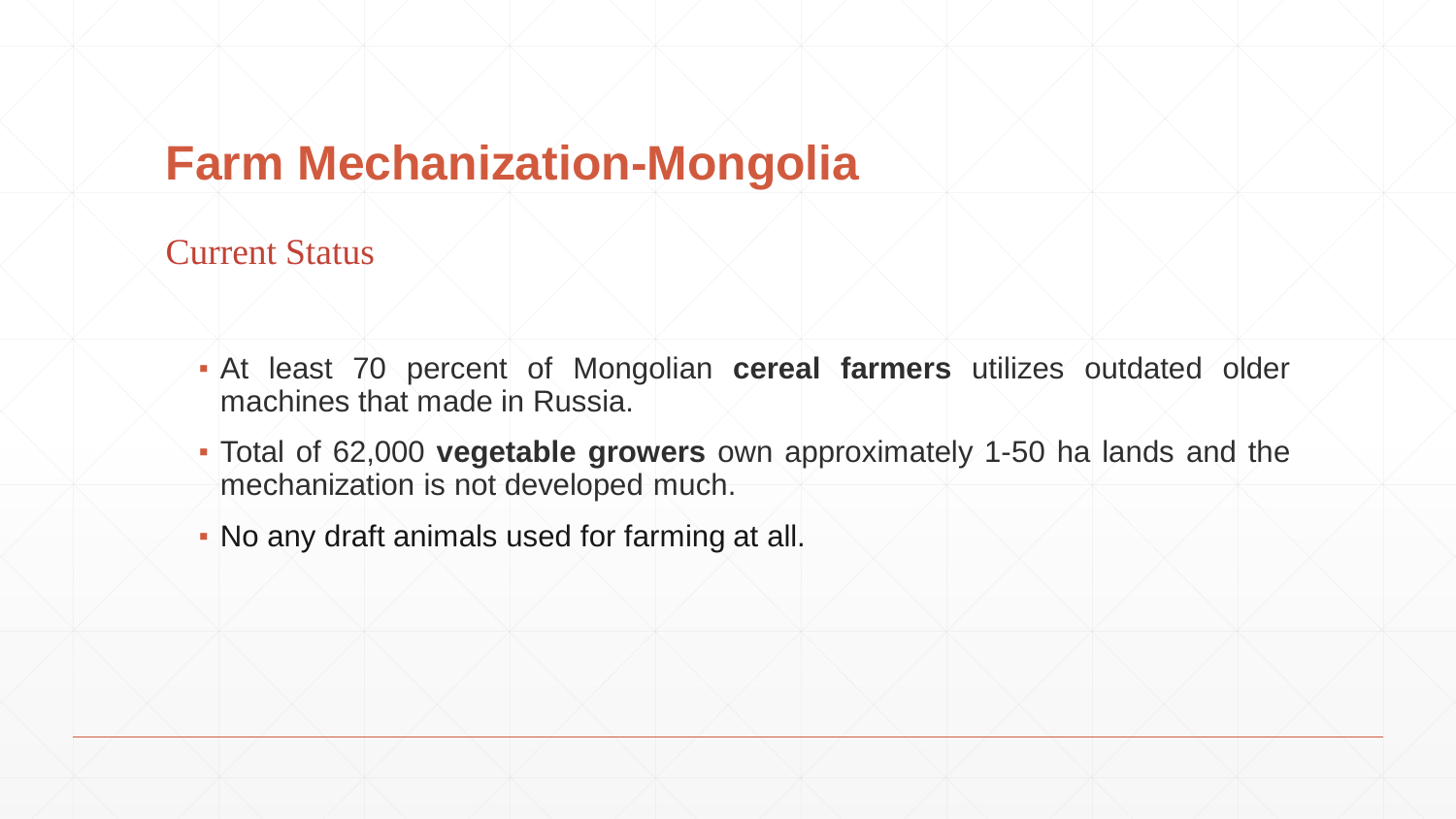Current Status

- At least 70 percent of Mongolian **cereal farmers** utilizes outdated older machines that made in Russia.
- Total of 62,000 **vegetable growers** own approximately 1-50 ha lands and the mechanization is not developed much.
- No any draft animals used for farming at all.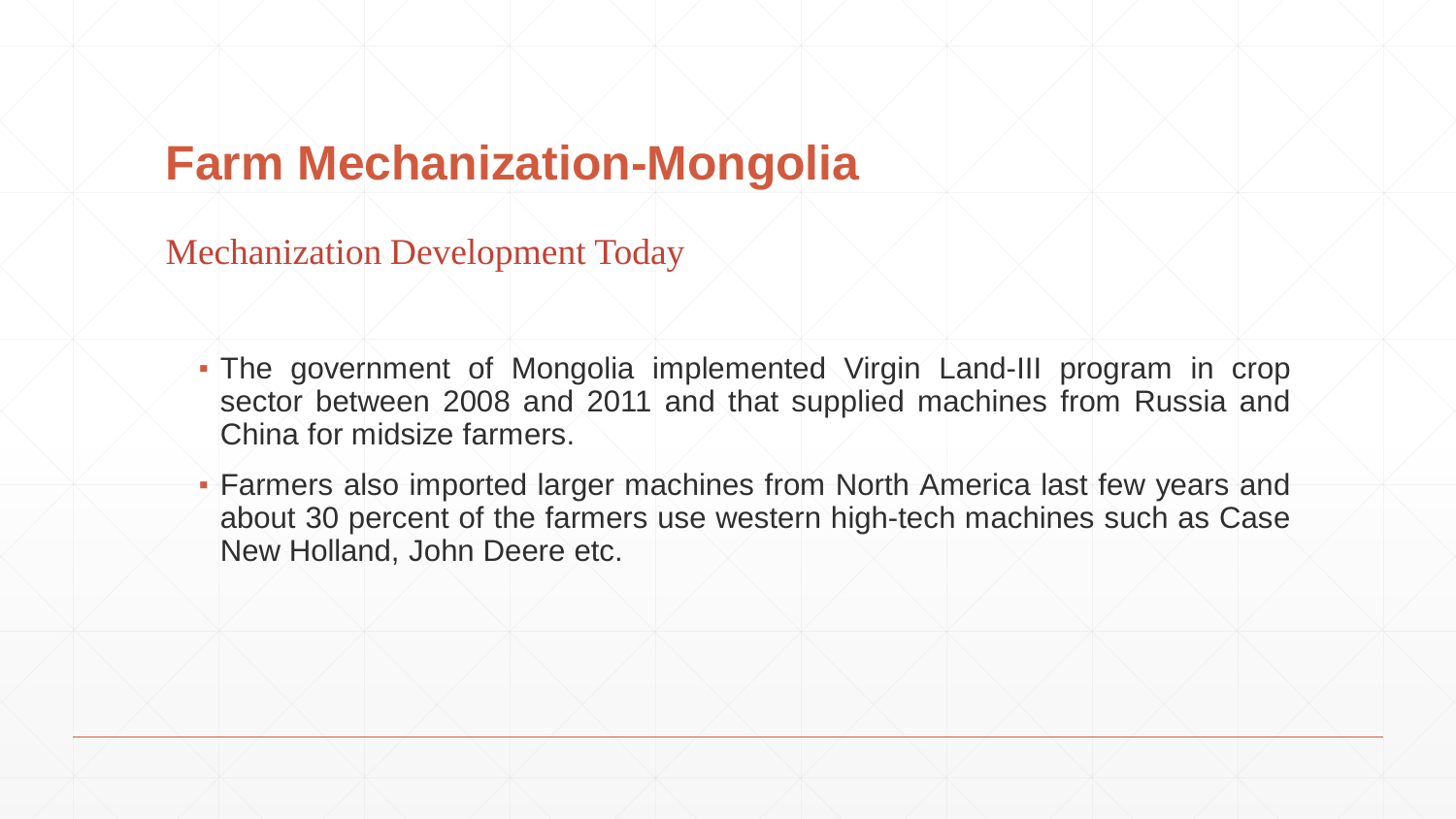Mechanization Development Today

- The government of Mongolia implemented Virgin Land-III program in crop sector between 2008 and 2011 and that supplied machines from Russia and China for midsize farmers.
- Farmers also imported larger machines from North America last few years and about 30 percent of the farmers use western high-tech machines such as Case New Holland, John Deere etc.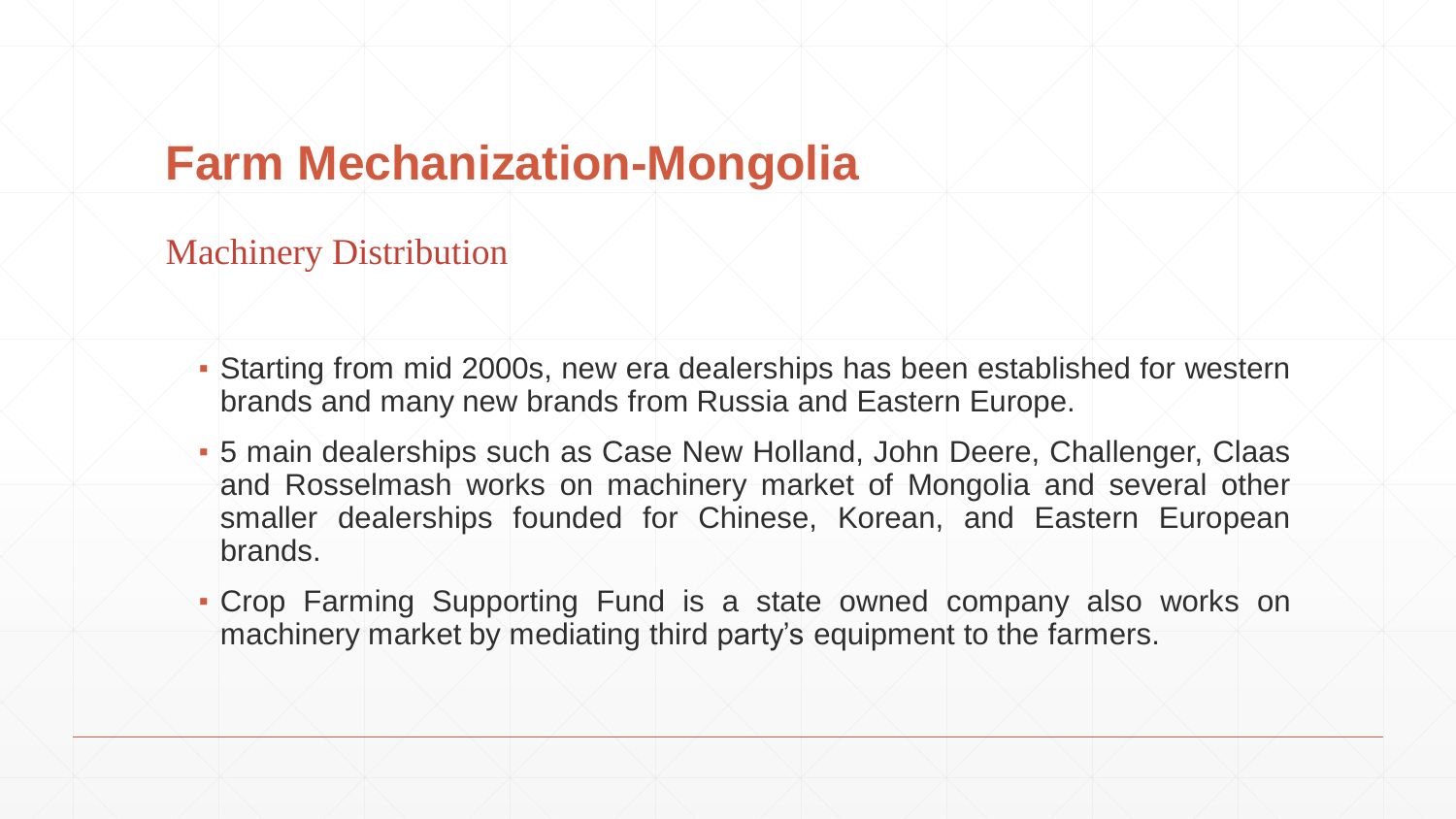Machinery Distribution

- Starting from mid 2000s, new era dealerships has been established for western brands and many new brands from Russia and Eastern Europe.
- 5 main dealerships such as Case New Holland, John Deere, Challenger, Claas and Rosselmash works on machinery market of Mongolia and several other smaller dealerships founded for Chinese, Korean, and Eastern European brands.
- Crop Farming Supporting Fund is a state owned company also works on machinery market by mediating third party's equipment to the farmers.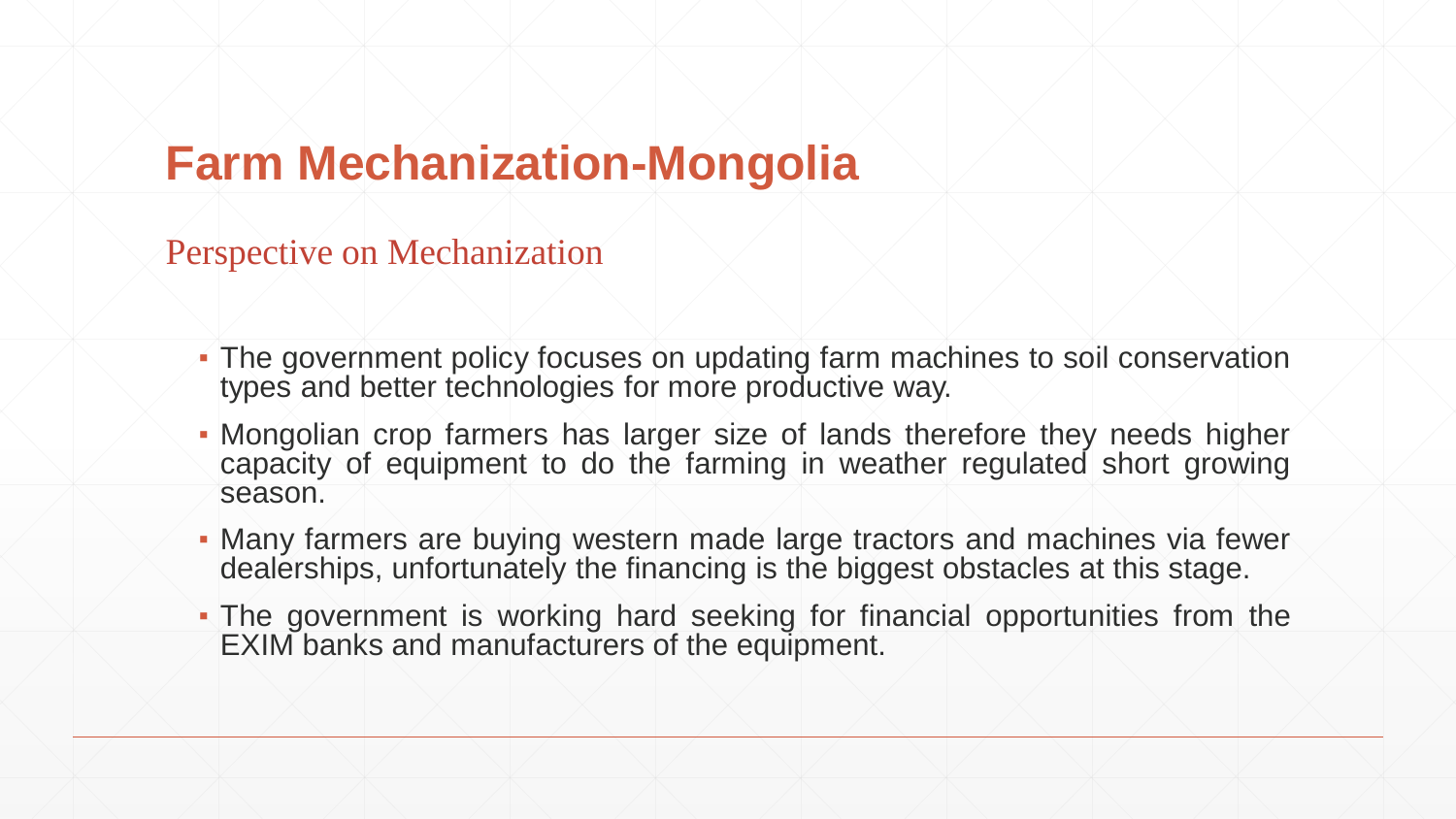Perspective on Mechanization

- The government policy focuses on updating farm machines to soil conservation types and better technologies for more productive way.
- Mongolian crop farmers has larger size of lands therefore they needs higher capacity of equipment to do the farming in weather regulated short growing season.
- Many farmers are buying western made large tractors and machines via fewer dealerships, unfortunately the financing is the biggest obstacles at this stage.
- The government is working hard seeking for financial opportunities from the EXIM banks and manufacturers of the equipment.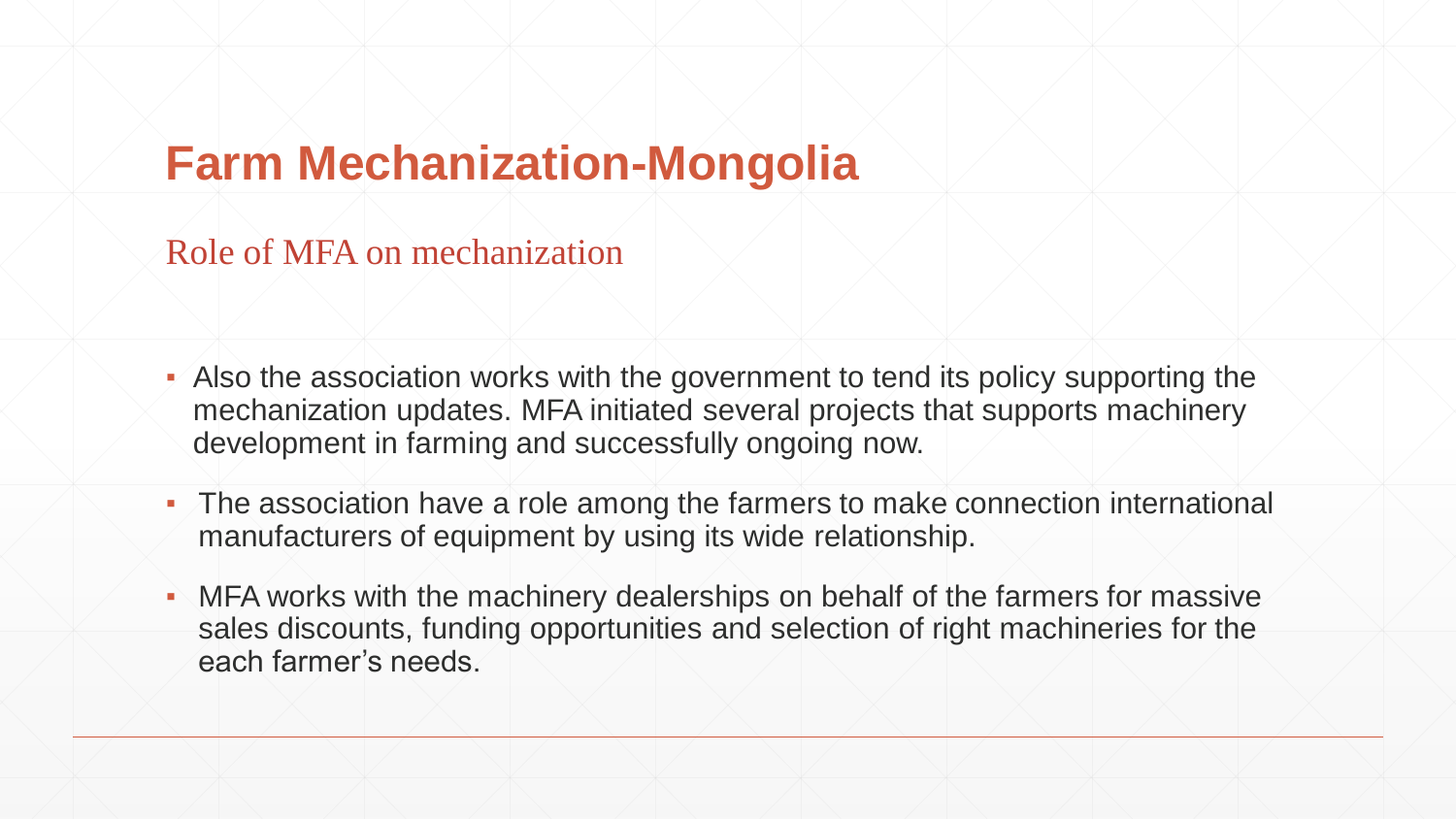Role of MFA on mechanization

- **Also the association works with the government to tend its policy supporting the** mechanization updates. MFA initiated several projects that supports machinery development in farming and successfully ongoing now.
- The association have a role among the farmers to make connection international manufacturers of equipment by using its wide relationship.
- MFA works with the machinery dealerships on behalf of the farmers for massive sales discounts, funding opportunities and selection of right machineries for the each farmer's needs.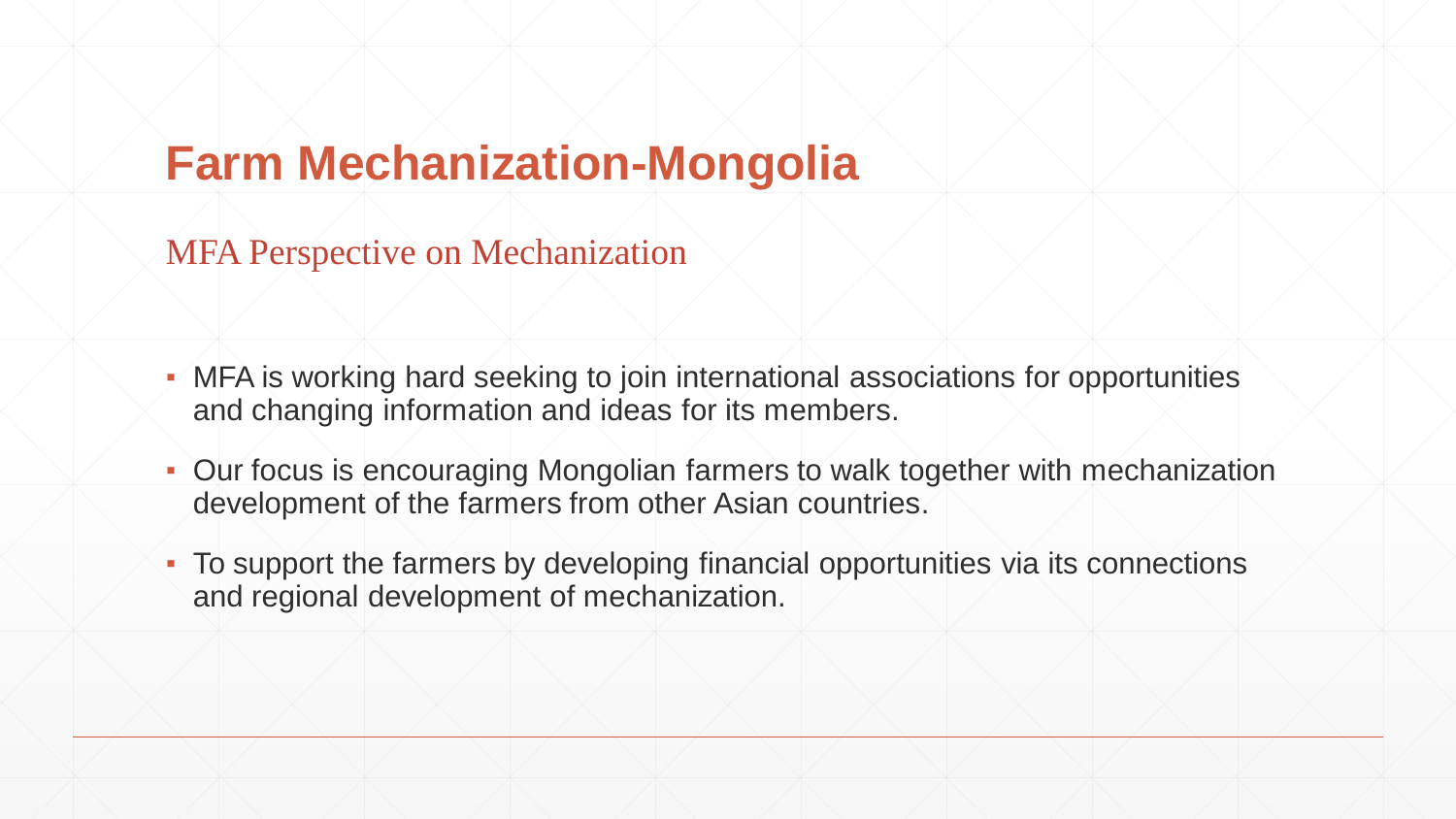MFA Perspective on Mechanization

- MFA is working hard seeking to join international associations for opportunities and changing information and ideas for its members.
- Our focus is encouraging Mongolian farmers to walk together with mechanization development of the farmers from other Asian countries.
- To support the farmers by developing financial opportunities via its connections and regional development of mechanization.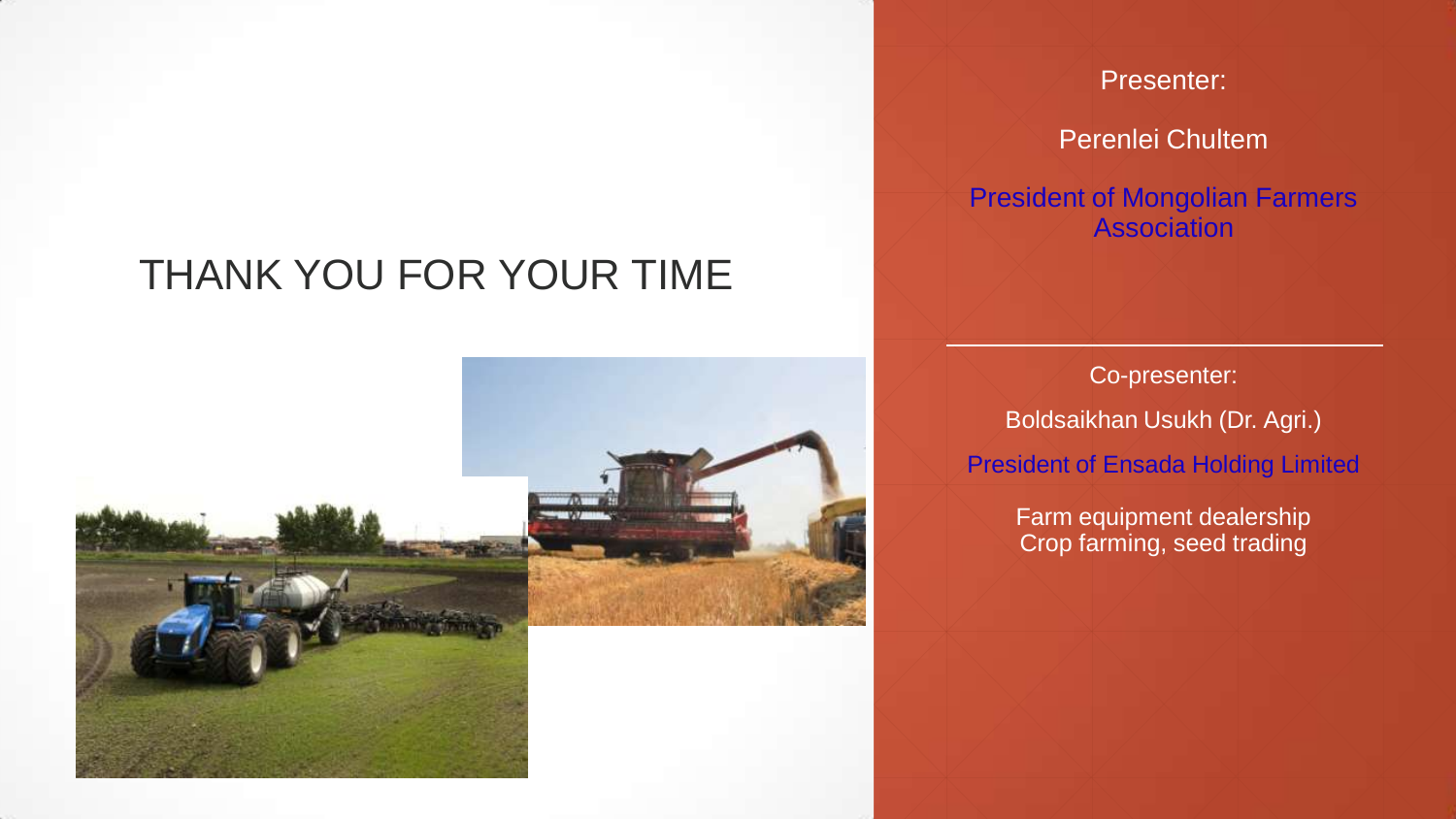#### THANK YOU FOR YOUR TIME



#### Presenter:

Perenlei Chultem

President of Mongolian Farmers **Association** 

Co-presenter: Boldsaikhan Usukh (Dr. Agri.) President of Ensada Holding Limited

Farm equipment dealership Crop farming, seed trading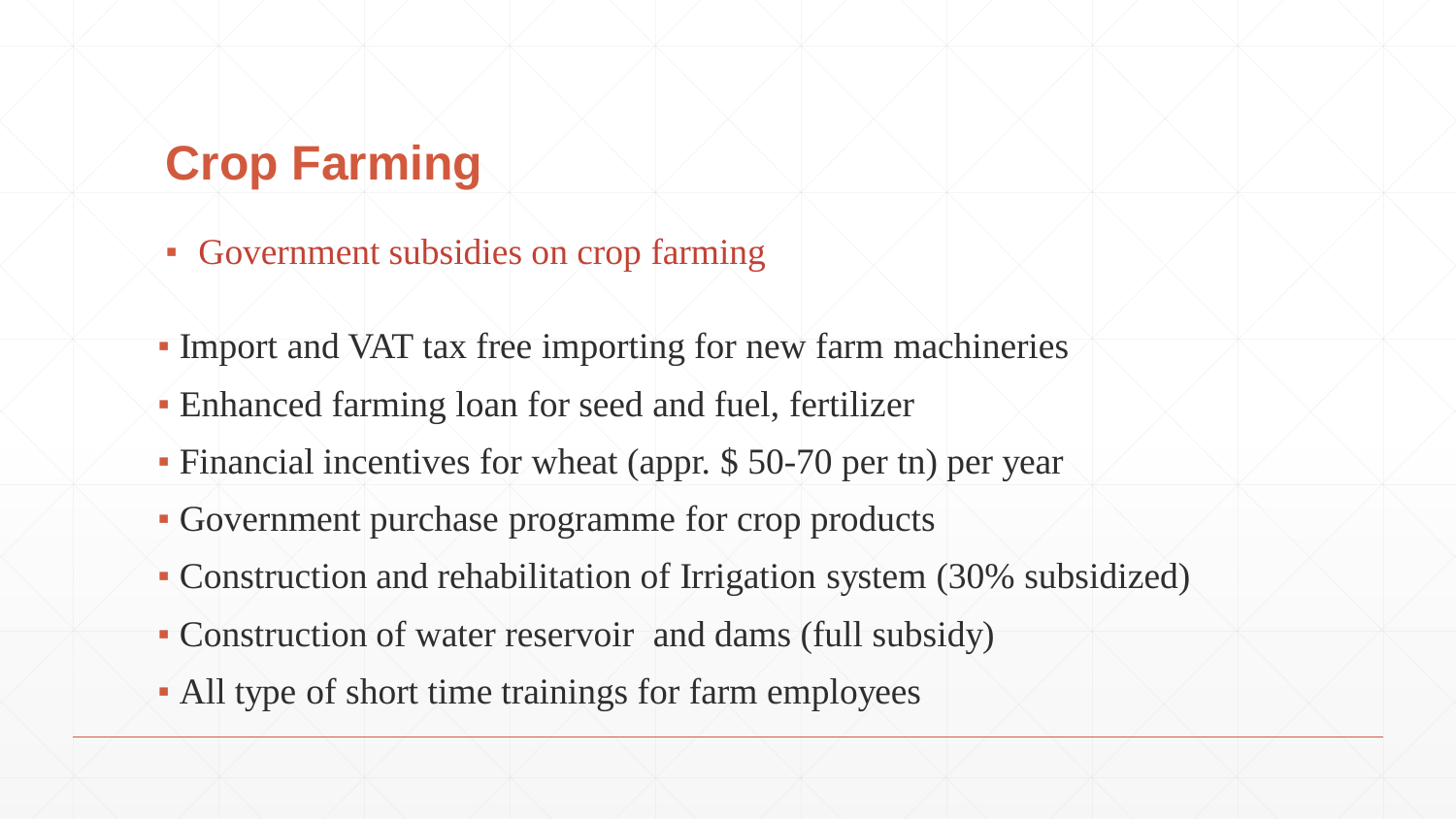## **Crop Farming**

- Government subsidies on crop farming
- Import and VAT tax free importing for new farm machineries
- Enhanced farming loan for seed and fuel, fertilizer
- Financial incentives for wheat (appr. \$ 50-70 per tn) per year
- Government purchase programme for crop products
- Construction and rehabilitation of Irrigation system (30% subsidized)
- Construction of water reservoir and dams (full subsidy)
- All type of short time trainings for farm employees